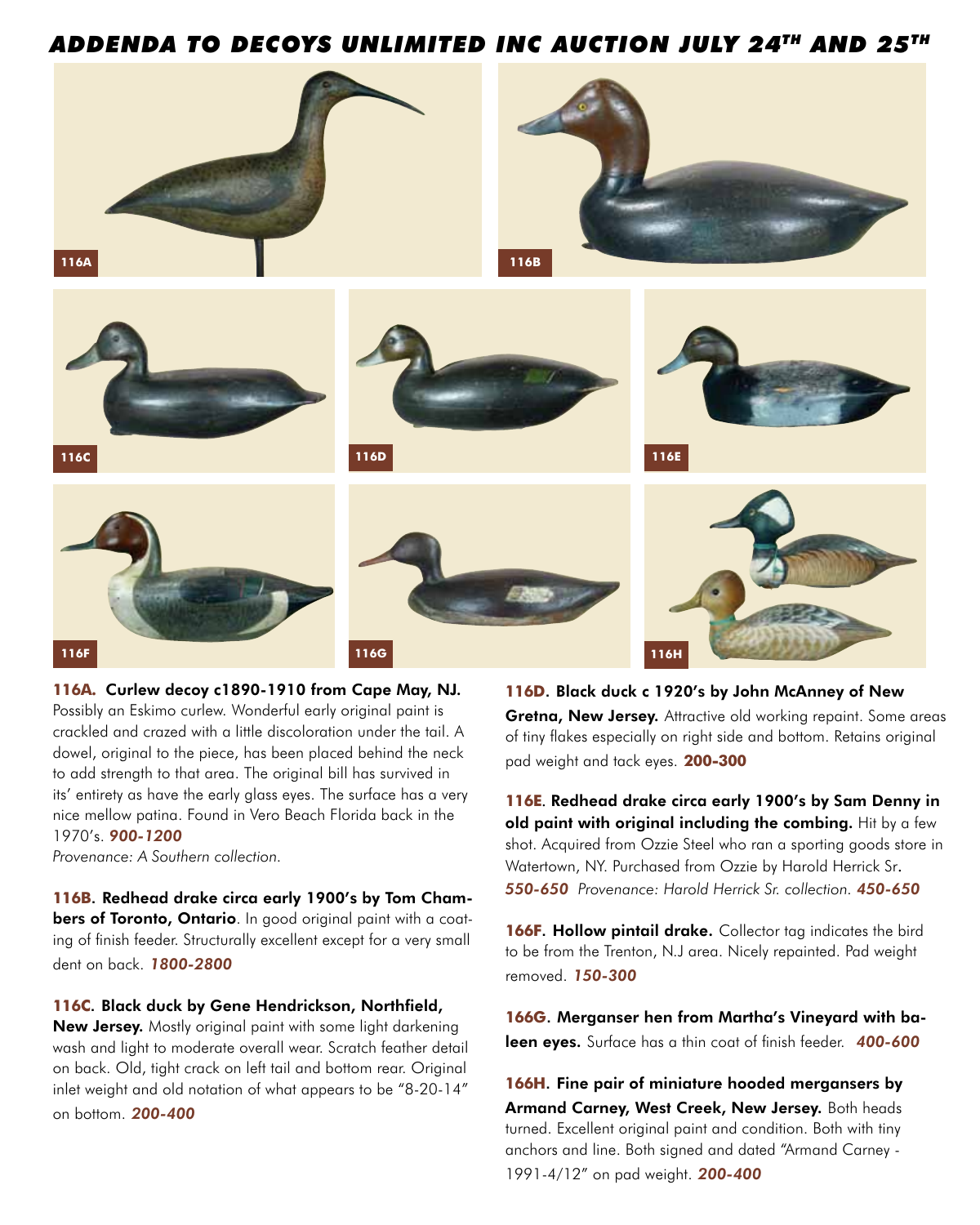## *ADDENDA TO DECOYS UNLIMITED INC AUCTION JULY 24TH AND 25TH*



**116A.** Curlew decoy c1890-1910 from Cape May, NJ. Possibly an Eskimo curlew. Wonderful early original paint is crackled and crazed with a little discoloration under the tail. A dowel, original to the piece, has been placed behind the neck to add strength to that area. The original bill has survived in its' entirety as have the early glass eyes. The surface has a very nice mellow patina. Found in Vero Beach Florida back in the 1970's. *900-1200*

*Provenance: A Southern collection.*

**116B**. Redhead drake circa early 1900's by Tom Chambers of Toronto, Ontario. In good original paint with a coating of finish feeder. Structurally excellent except for a very small dent on back. *1800-2800*

## **116C**. Black duck by Gene Hendrickson, Northfield,

New Jersey. Mostly original paint with some light darkening wash and light to moderate overall wear. Scratch feather detail on back. Old, tight crack on left tail and bottom rear. Original inlet weight and old notation of what appears to be "8-20-14" on bottom. *200-400*

**116D**. Black duck c 1920's by John McAnney of New Gretna, New Jersey. Attractive old working repaint. Some areas of tiny flakes especially on right side and bottom. Retains original pad weight and tack eyes. **200-300**

**116E**. Redhead drake circa early 1900's by Sam Denny in old paint with original including the combing. Hit by a few shot. Acquired from Ozzie Steel who ran a sporting goods store in Watertown, NY. Purchased from Ozzie by Harold Herrick Sr. *550-650 Provenance: Harold Herrick Sr. collection. 450-650*

**166F. Hollow pintail drake.** Collector tag indicates the bird to be from the Trenton, N.J area. Nicely repainted. Pad weight removed. *150-300* 

**166G**. Merganser hen from Martha's Vineyard with baleen eyes. Surface has a thin coat of finish feeder. *400-600*

**166H**. Fine pair of miniature hooded mergansers by Armand Carney, West Creek, New Jersey. Both heads turned. Excellent original paint and condition. Both with tiny anchors and line. Both signed and dated "Armand Carney - 1991-4/12" on pad weight. *200-400*